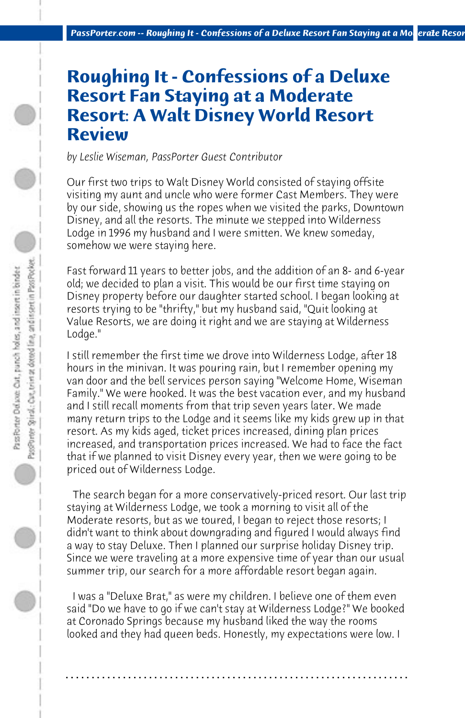## **Roughing It - Confessions of a Deluxe Resort Fan Staying at a Moderate Resort: A Walt Disney World Resort Review**

*by Leslie Wiseman, PassPorter Guest Contributor*

Our first two trips to Walt Disney World consisted of staying offsite visiting my aunt and uncle who were former Cast Members. They were by our side, showing us the ropes when we visited the parks, Downtown Disney, and all the resorts. The minute we stepped into Wilderness Lodge in 1996 my husband and I were smitten. We knew someday, somehow we were staying here.

Fast forward 11 years to better jobs, and the addition of an 8- and 6-year old; we decided to plan a visit. This would be our first time staying on Disney property before our daughter started school. I began looking at resorts trying to be "thrifty," but my husband said, "Quit looking at Value Resorts, we are doing it right and we are staying at Wilderness Lodge."

I still remember the first time we drove into Wilderness Lodge, after 18 hours in the minivan. It was pouring rain, but I remember opening my van door and the bell services person saying "Welcome Home, Wiseman Family." We were hooked. It was the best vacation ever, and my husband and I still recall moments from that trip seven years later. We made many return trips to the Lodge and it seems like my kids grew up in that resort. As my kids aged, ticket prices increased, dining plan prices increased, and transportation prices increased. We had to face the fact that if we planned to visit Disney every year, then we were going to be priced out of Wilderness Lodge.

 The search began for a more conservatively-priced resort. Our last trip staying at Wilderness Lodge, we took a morning to visit all of the Moderate resorts, but as we toured, I began to reject those resorts; I didn't want to think about downgrading and figured I would always find a way to stay Deluxe. Then I planned our surprise holiday Disney trip. Since we were traveling at a more expensive time of year than our usual summer trip, our search for a more affordable resort began again.

 I was a "Deluxe Brat," as were my children. I believe one of them even said "Do we have to go if we can't stay at Wilderness Lodge?" We booked at Coronado Springs because my husband liked the way the rooms looked and they had queen beds. Honestly, my expectations were low. I

**. . . . . . . . . . . . . . . . . . . . . . . . . . . . . . . . . . . . . . . . . . . . . . . . . . . . . . . . . . . . . . . . . .**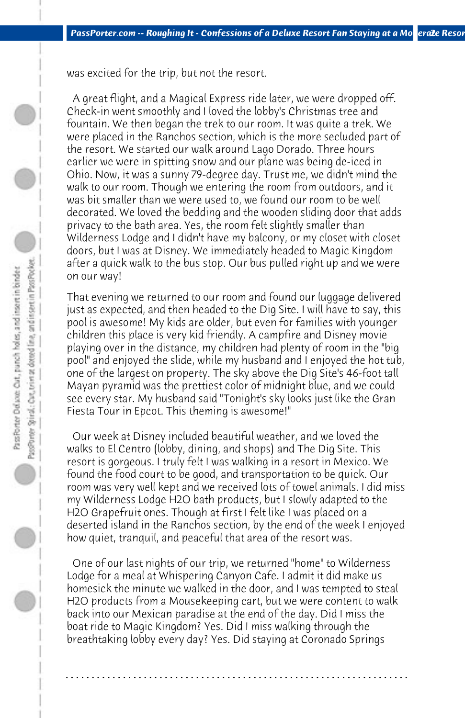PassPrieter Spinal: Cart, teiler at dotted line, and instert in Pass Pocket. Pass Porter Deluxe: Out, punch holes, and insert in binder

was excited for the trip, but not the resort.

 A great flight, and a Magical Express ride later, we were dropped off. Check-in went smoothly and I loved the lobby's Christmas tree and fountain. We then began the trek to our room. It was quite a trek. We were placed in the Ranchos section, which is the more secluded part of the resort. We started our walk around Lago Dorado. Three hours earlier we were in spitting snow and our plane was being de-iced in Ohio. Now, it was a sunny 79-degree day. Trust me, we didn't mind the walk to our room. Though we entering the room from outdoors, and it was bit smaller than we were used to, we found our room to be well decorated. We loved the bedding and the wooden sliding door that adds privacy to the bath area. Yes, the room felt slightly smaller than Wilderness Lodge and I didn't have my balcony, or my closet with closet doors, but I was at Disney. We immediately headed to Magic Kingdom after a quick walk to the bus stop. Our bus pulled right up and we were on our way!

That evening we returned to our room and found our luggage delivered just as expected, and then headed to the Dig Site. I will have to say, this pool is awesome! My kids are older, but even for families with younger children this place is very kid friendly. A campfire and Disney movie playing over in the distance, my children had plenty of room in the "big pool" and enjoyed the slide, while my husband and I enjoyed the hot tub, one of the largest on property. The sky above the Dig Site's 46-foot tall Mayan pyramid was the prettiest color of midnight blue, and we could see every star. My husband said "Tonight's sky looks just like the Gran Fiesta Tour in Epcot. This theming is awesome!"

 Our week at Disney included beautiful weather, and we loved the walks to El Centro (lobby, dining, and shops) and The Dig Site. This resort is gorgeous. I truly felt I was walking in a resort in Mexico. We found the food court to be good, and transportation to be quick. Our room was very well kept and we received lots of towel animals. I did miss my Wilderness Lodge H2O bath products, but I slowly adapted to the H2O Grapefruit ones. Though at first I felt like I was placed on a deserted island in the Ranchos section, by the end of the week I enjoyed how quiet, tranquil, and peaceful that area of the resort was.

 One of our last nights of our trip, we returned "home" to Wilderness Lodge for a meal at Whispering Canyon Cafe. I admit it did make us homesick the minute we walked in the door, and I was tempted to steal H2O products from a Mousekeeping cart, but we were content to walk back into our Mexican paradise at the end of the day. Did I miss the boat ride to Magic Kingdom? Yes. Did I miss walking through the breathtaking lobby every day? Yes. Did staying at Coronado Springs

**. . . . . . . . . . . . . . . . . . . . . . . . . . . . . . . . . . . . . . . . . . . . . . . . . . . . . . . . . . . . . . . . . .**